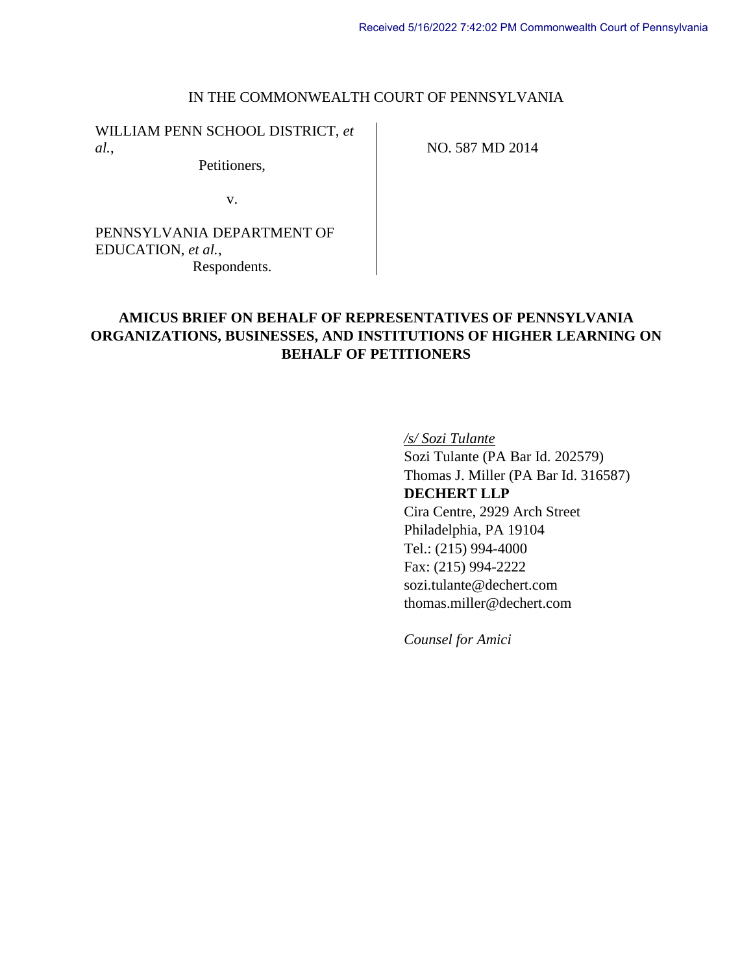### IN THE COMMONWEALTH COURT OF PENNSYLVANIA

WILLIAM PENN SCHOOL DISTRICT, *et al.*,

Petitioners,

NO. 587 MD 2014

v.

PENNSYLVANIA DEPARTMENT OF EDUCATION, *et al.*, Respondents.

# **AMICUS BRIEF ON BEHALF OF REPRESENTATIVES OF PENNSYLVANIA ORGANIZATIONS, BUSINESSES, AND INSTITUTIONS OF HIGHER LEARNING ON BEHALF OF PETITIONERS**

*/s/ Sozi Tulante*

Sozi Tulante (PA Bar Id. 202579) Thomas J. Miller (PA Bar Id. 316587) **DECHERT LLP** Cira Centre, 2929 Arch Street Philadelphia, PA 19104 Tel.: (215) 994-4000 Fax: (215) 994-2222 sozi.tulante@dechert.com thomas.miller@dechert.com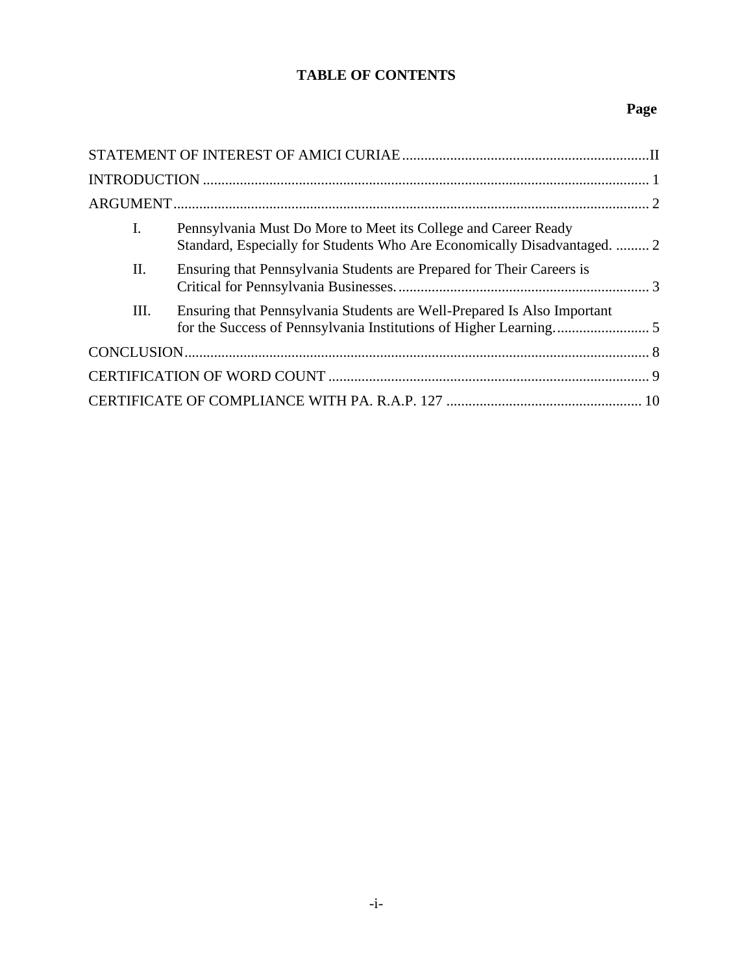# **TABLE OF CONTENTS**

# **Page**

| I. | Pennsylvania Must Do More to Meet its College and Career Ready<br>Standard, Especially for Students Who Are Economically Disadvantaged.  2 |  |
|----|--------------------------------------------------------------------------------------------------------------------------------------------|--|
| Π. | Ensuring that Pennsylvania Students are Prepared for Their Careers is                                                                      |  |
| Ш. | Ensuring that Pennsylvania Students are Well-Prepared Is Also Important                                                                    |  |
|    |                                                                                                                                            |  |
|    |                                                                                                                                            |  |
|    |                                                                                                                                            |  |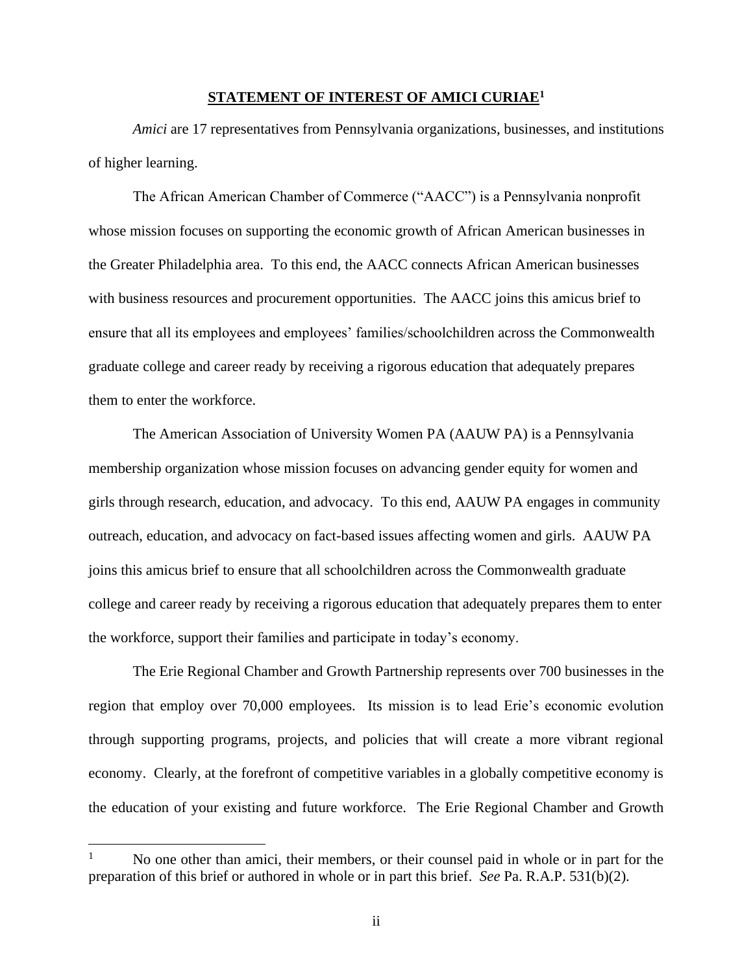### **STATEMENT OF INTEREST OF AMICI CURIAE<sup>1</sup>**

<span id="page-2-0"></span>*Amici* are 17 representatives from Pennsylvania organizations, businesses, and institutions of higher learning.

The African American Chamber of Commerce ("AACC") is a Pennsylvania nonprofit whose mission focuses on supporting the economic growth of African American businesses in the Greater Philadelphia area. To this end, the AACC connects African American businesses with business resources and procurement opportunities. The AACC joins this amicus brief to ensure that all its employees and employees' families/schoolchildren across the Commonwealth graduate college and career ready by receiving a rigorous education that adequately prepares them to enter the workforce.

The American Association of University Women PA (AAUW PA) is a Pennsylvania membership organization whose mission focuses on advancing gender equity for women and girls through research, education, and advocacy. To this end, AAUW PA engages in community outreach, education, and advocacy on fact-based issues affecting women and girls. AAUW PA joins this amicus brief to ensure that all schoolchildren across the Commonwealth graduate college and career ready by receiving a rigorous education that adequately prepares them to enter the workforce, support their families and participate in today's economy.

The Erie Regional Chamber and Growth Partnership represents over 700 businesses in the region that employ over 70,000 employees. Its mission is to lead Erie's economic evolution through supporting programs, projects, and policies that will create a more vibrant regional economy. Clearly, at the forefront of competitive variables in a globally competitive economy is the education of your existing and future workforce. The Erie Regional Chamber and Growth

<sup>1</sup> No one other than amici, their members, or their counsel paid in whole or in part for the preparation of this brief or authored in whole or in part this brief. *See* Pa. R.A.P. 531(b)(2).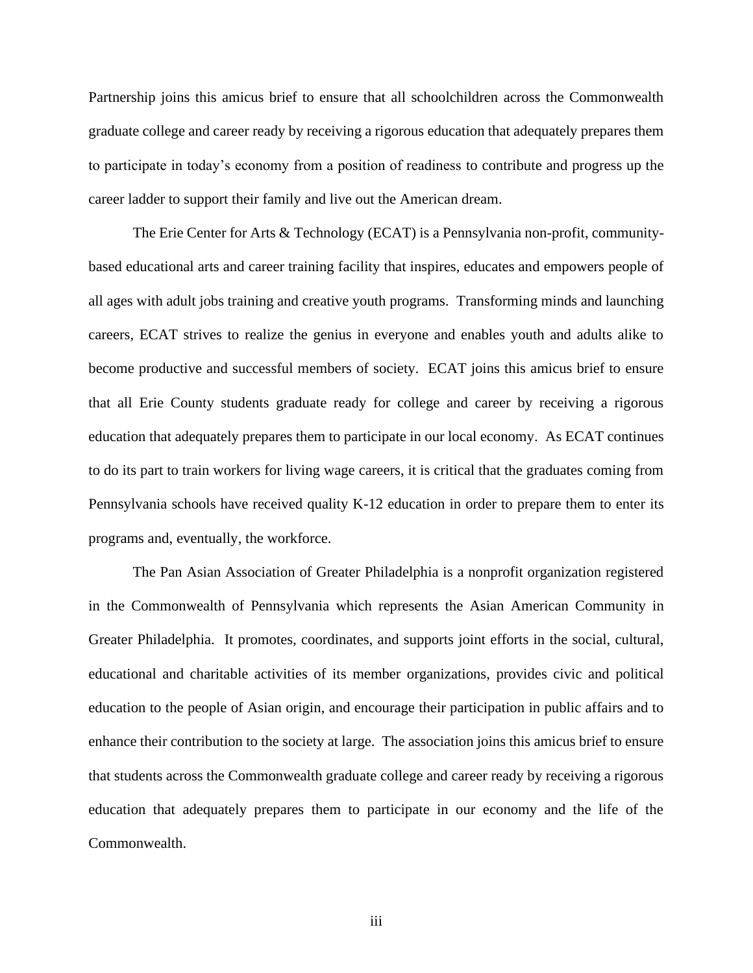Partnership joins this amicus brief to ensure that all schoolchildren across the Commonwealth graduate college and career ready by receiving a rigorous education that adequately prepares them to participate in today's economy from a position of readiness to contribute and progress up the career ladder to support their family and live out the American dream.

The Erie Center for Arts & Technology (ECAT) is a Pennsylvania non-profit, communitybased educational arts and career training facility that inspires, educates and empowers people of all ages with adult jobs training and creative youth programs. Transforming minds and launching careers, ECAT strives to realize the genius in everyone and enables youth and adults alike to become productive and successful members of society. ECAT joins this amicus brief to ensure that all Erie County students graduate ready for college and career by receiving a rigorous education that adequately prepares them to participate in our local economy. As ECAT continues to do its part to train workers for living wage careers, it is critical that the graduates coming from Pennsylvania schools have received quality K-12 education in order to prepare them to enter its programs and, eventually, the workforce.

The Pan Asian Association of Greater Philadelphia is a nonprofit organization registered in the Commonwealth of Pennsylvania which represents the Asian American Community in Greater Philadelphia. It promotes, coordinates, and supports joint efforts in the social, cultural, educational and charitable activities of its member organizations, provides civic and political education to the people of Asian origin, and encourage their participation in public affairs and to enhance their contribution to the society at large. The association joins this amicus brief to ensure that students across the Commonwealth graduate college and career ready by receiving a rigorous education that adequately prepares them to participate in our economy and the life of the Commonwealth.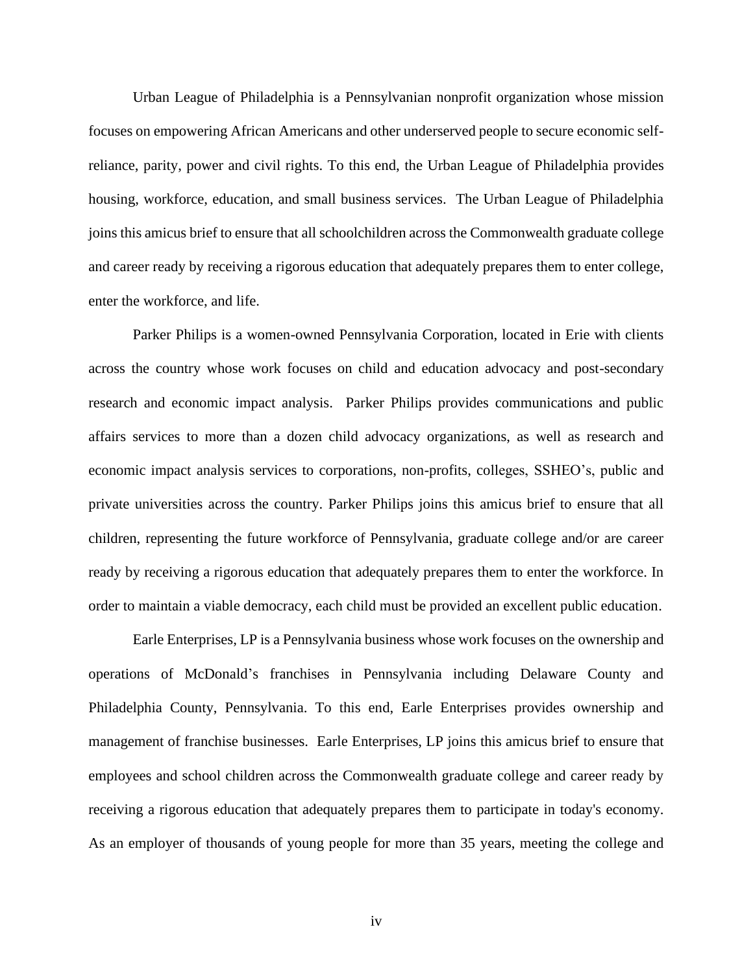Urban League of Philadelphia is a Pennsylvanian nonprofit organization whose mission focuses on empowering African Americans and other underserved people to secure economic selfreliance, parity, power and civil rights. To this end, the Urban League of Philadelphia provides housing, workforce, education, and small business services. The Urban League of Philadelphia joins this amicus brief to ensure that all schoolchildren across the Commonwealth graduate college and career ready by receiving a rigorous education that adequately prepares them to enter college, enter the workforce, and life.

Parker Philips is a women-owned Pennsylvania Corporation, located in Erie with clients across the country whose work focuses on child and education advocacy and post-secondary research and economic impact analysis. Parker Philips provides communications and public affairs services to more than a dozen child advocacy organizations, as well as research and economic impact analysis services to corporations, non-profits, colleges, SSHEO's, public and private universities across the country. Parker Philips joins this amicus brief to ensure that all children, representing the future workforce of Pennsylvania, graduate college and/or are career ready by receiving a rigorous education that adequately prepares them to enter the workforce. In order to maintain a viable democracy, each child must be provided an excellent public education.

Earle Enterprises, LP is a Pennsylvania business whose work focuses on the ownership and operations of McDonald's franchises in Pennsylvania including Delaware County and Philadelphia County, Pennsylvania. To this end, Earle Enterprises provides ownership and management of franchise businesses. Earle Enterprises, LP joins this amicus brief to ensure that employees and school children across the Commonwealth graduate college and career ready by receiving a rigorous education that adequately prepares them to participate in today's economy. As an employer of thousands of young people for more than 35 years, meeting the college and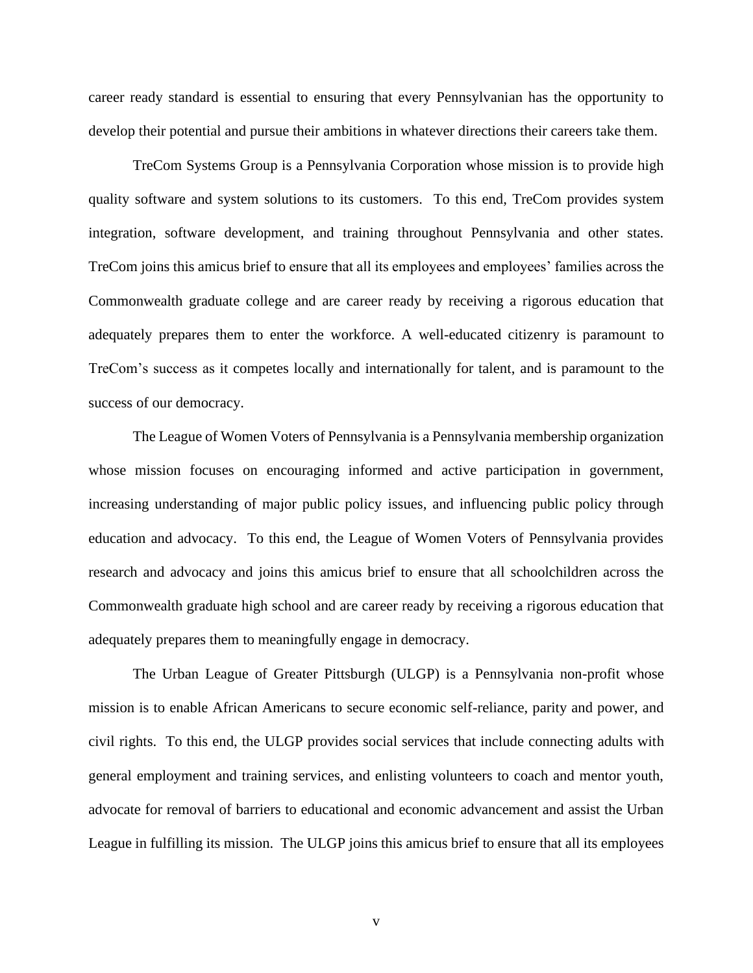career ready standard is essential to ensuring that every Pennsylvanian has the opportunity to develop their potential and pursue their ambitions in whatever directions their careers take them.

TreCom Systems Group is a Pennsylvania Corporation whose mission is to provide high quality software and system solutions to its customers. To this end, TreCom provides system integration, software development, and training throughout Pennsylvania and other states. TreCom joins this amicus brief to ensure that all its employees and employees' families across the Commonwealth graduate college and are career ready by receiving a rigorous education that adequately prepares them to enter the workforce. A well-educated citizenry is paramount to TreCom's success as it competes locally and internationally for talent, and is paramount to the success of our democracy.

The League of Women Voters of Pennsylvania is a Pennsylvania membership organization whose mission focuses on encouraging informed and active participation in government, increasing understanding of major public policy issues, and influencing public policy through education and advocacy. To this end, the League of Women Voters of Pennsylvania provides research and advocacy and joins this amicus brief to ensure that all schoolchildren across the Commonwealth graduate high school and are career ready by receiving a rigorous education that adequately prepares them to meaningfully engage in democracy.

The Urban League of Greater Pittsburgh (ULGP) is a Pennsylvania non-profit whose mission is to enable African Americans to secure economic self-reliance, parity and power, and civil rights. To this end, the ULGP provides social services that include connecting adults with general employment and training services, and enlisting volunteers to coach and mentor youth, advocate for removal of barriers to educational and economic advancement and assist the Urban League in fulfilling its mission. The ULGP joins this amicus brief to ensure that all its employees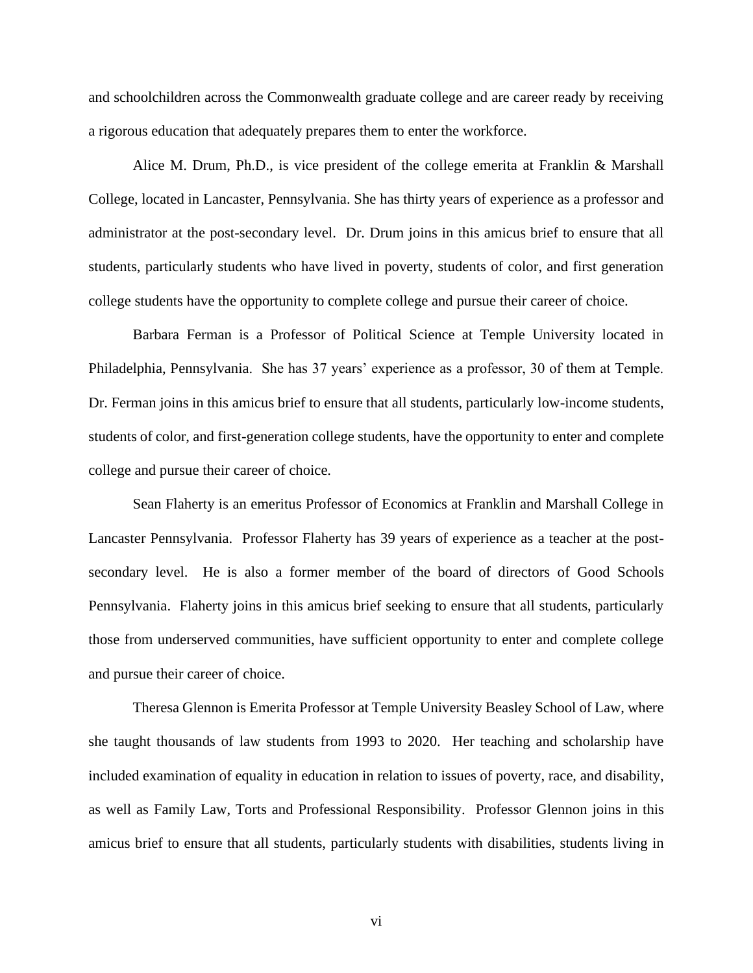and schoolchildren across the Commonwealth graduate college and are career ready by receiving a rigorous education that adequately prepares them to enter the workforce.

Alice M. Drum, Ph.D., is vice president of the college emerita at Franklin & Marshall College, located in Lancaster, Pennsylvania. She has thirty years of experience as a professor and administrator at the post-secondary level. Dr. Drum joins in this amicus brief to ensure that all students, particularly students who have lived in poverty, students of color, and first generation college students have the opportunity to complete college and pursue their career of choice.

Barbara Ferman is a Professor of Political Science at Temple University located in Philadelphia, Pennsylvania. She has 37 years' experience as a professor, 30 of them at Temple. Dr. Ferman joins in this amicus brief to ensure that all students, particularly low-income students, students of color, and first-generation college students, have the opportunity to enter and complete college and pursue their career of choice.

Sean Flaherty is an emeritus Professor of Economics at Franklin and Marshall College in Lancaster Pennsylvania. Professor Flaherty has 39 years of experience as a teacher at the postsecondary level. He is also a former member of the board of directors of Good Schools Pennsylvania. Flaherty joins in this amicus brief seeking to ensure that all students, particularly those from underserved communities, have sufficient opportunity to enter and complete college and pursue their career of choice.

Theresa Glennon is Emerita Professor at Temple University Beasley School of Law, where she taught thousands of law students from 1993 to 2020. Her teaching and scholarship have included examination of equality in education in relation to issues of poverty, race, and disability, as well as Family Law, Torts and Professional Responsibility. Professor Glennon joins in this amicus brief to ensure that all students, particularly students with disabilities, students living in

vi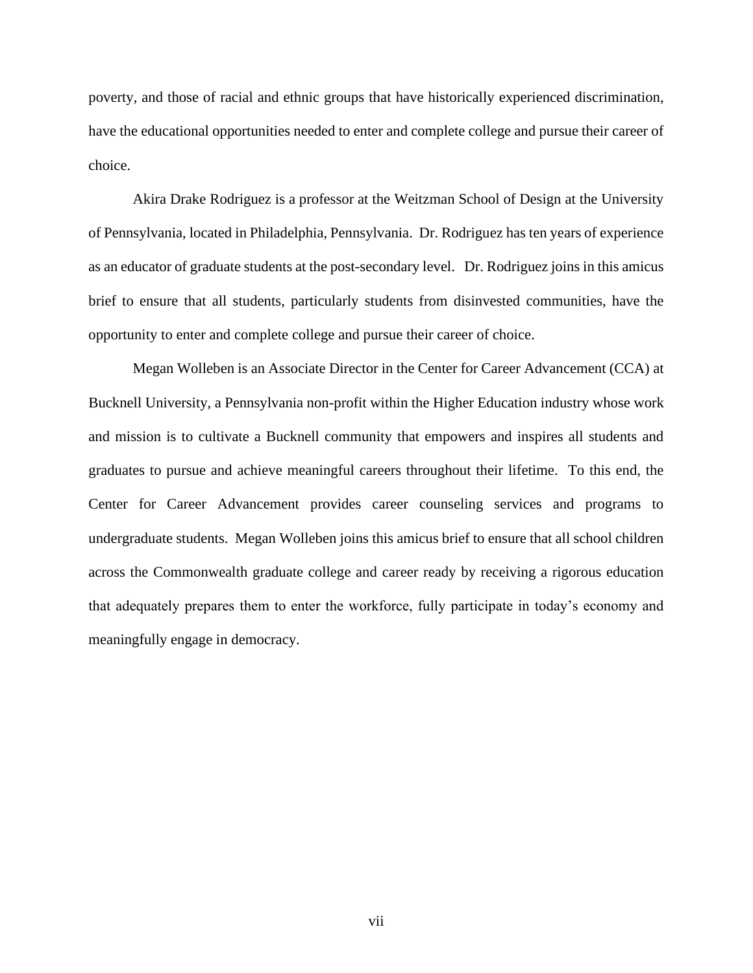poverty, and those of racial and ethnic groups that have historically experienced discrimination, have the educational opportunities needed to enter and complete college and pursue their career of choice.

Akira Drake Rodriguez is a professor at the Weitzman School of Design at the University of Pennsylvania, located in Philadelphia, Pennsylvania. Dr. Rodriguez has ten years of experience as an educator of graduate students at the post-secondary level. Dr. Rodriguez joins in this amicus brief to ensure that all students, particularly students from disinvested communities, have the opportunity to enter and complete college and pursue their career of choice.

Megan Wolleben is an Associate Director in the Center for Career Advancement (CCA) at Bucknell University, a Pennsylvania non-profit within the Higher Education industry whose work and mission is to cultivate a Bucknell community that empowers and inspires all students and graduates to pursue and achieve meaningful careers throughout their lifetime. To this end, the Center for Career Advancement provides career counseling services and programs to undergraduate students. Megan Wolleben joins this amicus brief to ensure that all school children across the Commonwealth graduate college and career ready by receiving a rigorous education that adequately prepares them to enter the workforce, fully participate in today's economy and meaningfully engage in democracy.

vii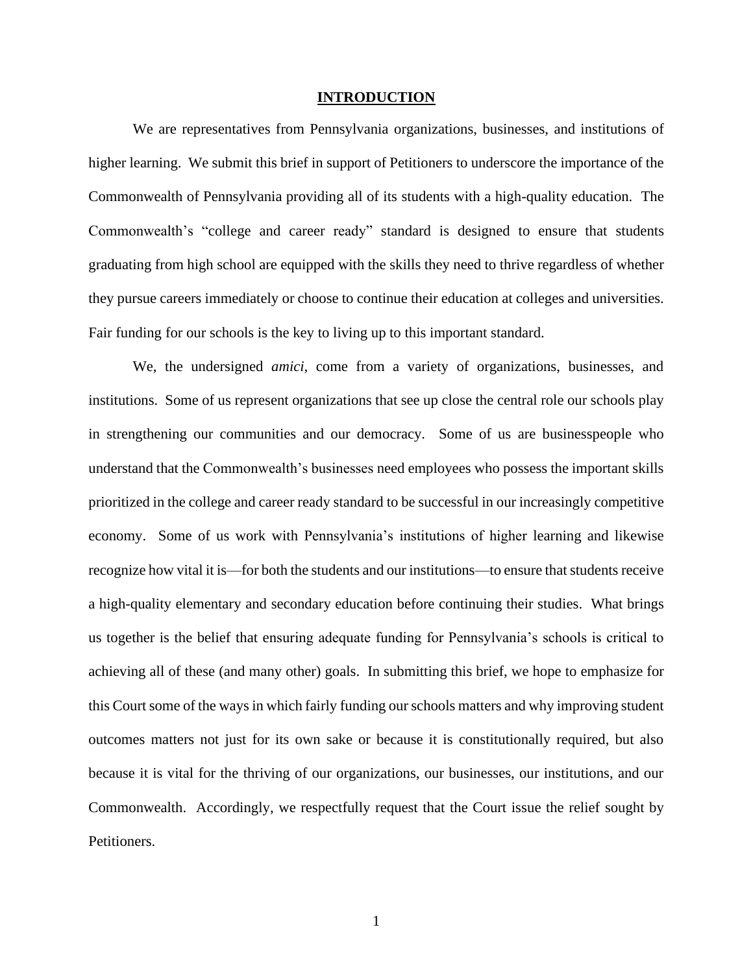### **INTRODUCTION**

<span id="page-8-0"></span>We are representatives from Pennsylvania organizations, businesses, and institutions of higher learning. We submit this brief in support of Petitioners to underscore the importance of the Commonwealth of Pennsylvania providing all of its students with a high-quality education. The Commonwealth's "college and career ready" standard is designed to ensure that students graduating from high school are equipped with the skills they need to thrive regardless of whether they pursue careers immediately or choose to continue their education at colleges and universities. Fair funding for our schools is the key to living up to this important standard.

We, the undersigned *amici*, come from a variety of organizations, businesses, and institutions. Some of us represent organizations that see up close the central role our schools play in strengthening our communities and our democracy. Some of us are businesspeople who understand that the Commonwealth's businesses need employees who possess the important skills prioritized in the college and career ready standard to be successful in our increasingly competitive economy. Some of us work with Pennsylvania's institutions of higher learning and likewise recognize how vital it is—for both the students and our institutions—to ensure that students receive a high-quality elementary and secondary education before continuing their studies. What brings us together is the belief that ensuring adequate funding for Pennsylvania's schools is critical to achieving all of these (and many other) goals. In submitting this brief, we hope to emphasize for this Court some of the ways in which fairly funding our schools matters and why improving student outcomes matters not just for its own sake or because it is constitutionally required, but also because it is vital for the thriving of our organizations, our businesses, our institutions, and our Commonwealth. Accordingly, we respectfully request that the Court issue the relief sought by Petitioners.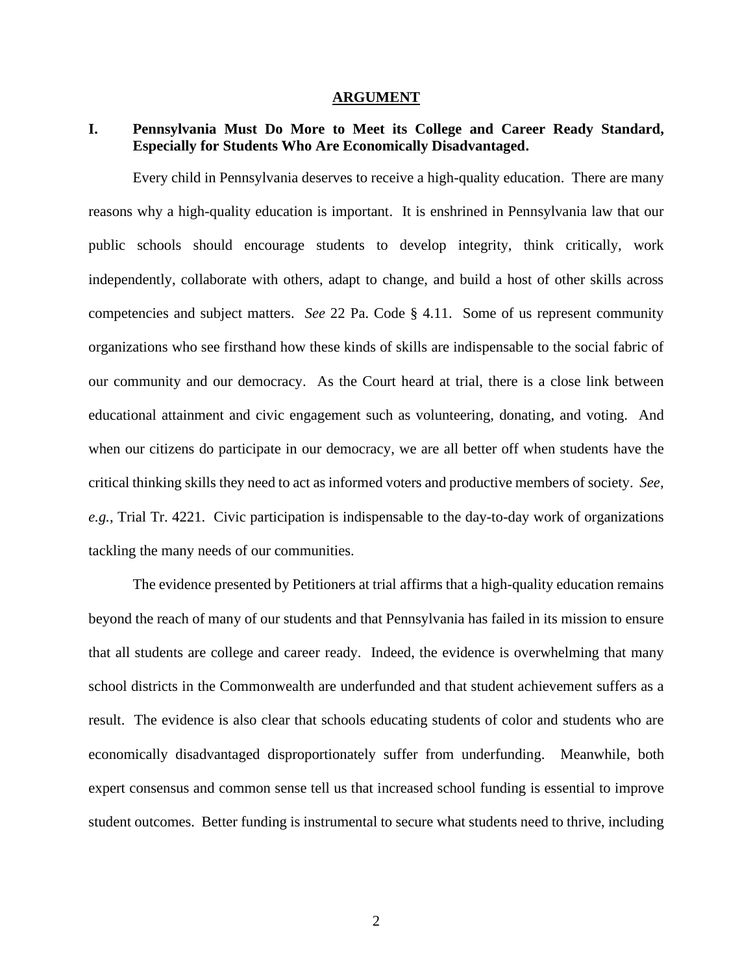#### **ARGUMENT**

# <span id="page-9-1"></span><span id="page-9-0"></span>**I. Pennsylvania Must Do More to Meet its College and Career Ready Standard, Especially for Students Who Are Economically Disadvantaged.**

Every child in Pennsylvania deserves to receive a high-quality education. There are many reasons why a high-quality education is important. It is enshrined in Pennsylvania law that our public schools should encourage students to develop integrity, think critically, work independently, collaborate with others, adapt to change, and build a host of other skills across competencies and subject matters. *See* 22 Pa. Code § 4.11. Some of us represent community organizations who see firsthand how these kinds of skills are indispensable to the social fabric of our community and our democracy. As the Court heard at trial, there is a close link between educational attainment and civic engagement such as volunteering, donating, and voting. And when our citizens do participate in our democracy, we are all better off when students have the critical thinking skills they need to act as informed voters and productive members of society. *See, e.g.*, Trial Tr. 4221. Civic participation is indispensable to the day-to-day work of organizations tackling the many needs of our communities.

The evidence presented by Petitioners at trial affirms that a high-quality education remains beyond the reach of many of our students and that Pennsylvania has failed in its mission to ensure that all students are college and career ready. Indeed, the evidence is overwhelming that many school districts in the Commonwealth are underfunded and that student achievement suffers as a result. The evidence is also clear that schools educating students of color and students who are economically disadvantaged disproportionately suffer from underfunding. Meanwhile, both expert consensus and common sense tell us that increased school funding is essential to improve student outcomes. Better funding is instrumental to secure what students need to thrive, including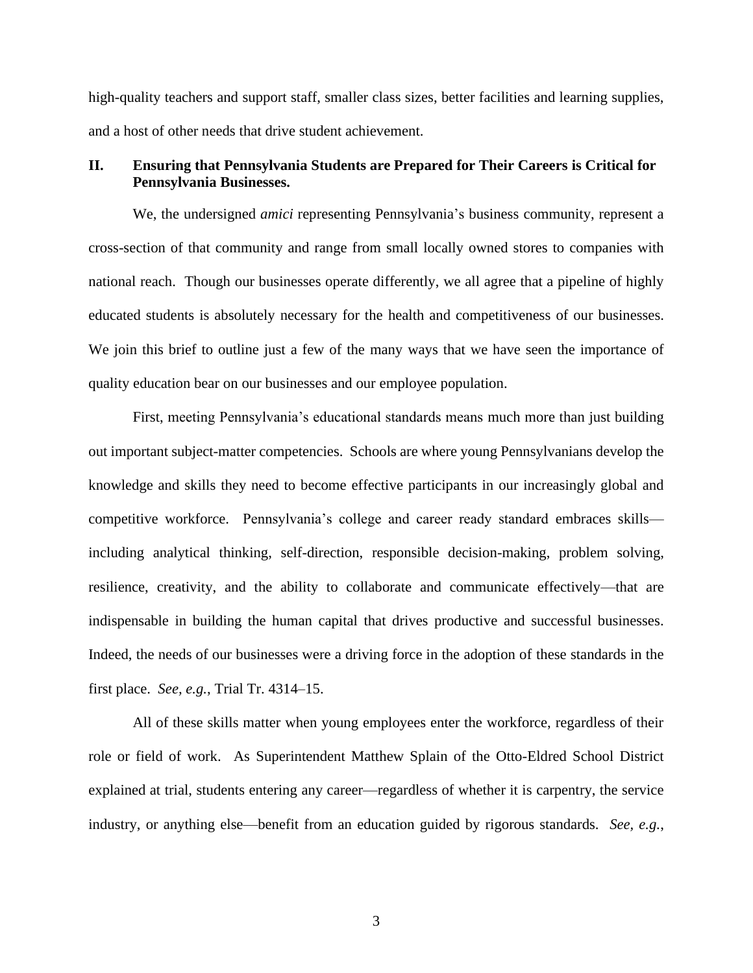high-quality teachers and support staff, smaller class sizes, better facilities and learning supplies, and a host of other needs that drive student achievement.

## <span id="page-10-0"></span>**II. Ensuring that Pennsylvania Students are Prepared for Their Careers is Critical for Pennsylvania Businesses.**

We, the undersigned *amici* representing Pennsylvania's business community, represent a cross-section of that community and range from small locally owned stores to companies with national reach. Though our businesses operate differently, we all agree that a pipeline of highly educated students is absolutely necessary for the health and competitiveness of our businesses. We join this brief to outline just a few of the many ways that we have seen the importance of quality education bear on our businesses and our employee population.

First, meeting Pennsylvania's educational standards means much more than just building out important subject-matter competencies. Schools are where young Pennsylvanians develop the knowledge and skills they need to become effective participants in our increasingly global and competitive workforce. Pennsylvania's college and career ready standard embraces skills including analytical thinking, self-direction, responsible decision-making, problem solving, resilience, creativity, and the ability to collaborate and communicate effectively—that are indispensable in building the human capital that drives productive and successful businesses. Indeed, the needs of our businesses were a driving force in the adoption of these standards in the first place. *See, e.g.*, Trial Tr. 4314–15.

All of these skills matter when young employees enter the workforce, regardless of their role or field of work. As Superintendent Matthew Splain of the Otto-Eldred School District explained at trial, students entering any career—regardless of whether it is carpentry, the service industry, or anything else—benefit from an education guided by rigorous standards. *See, e.g.*,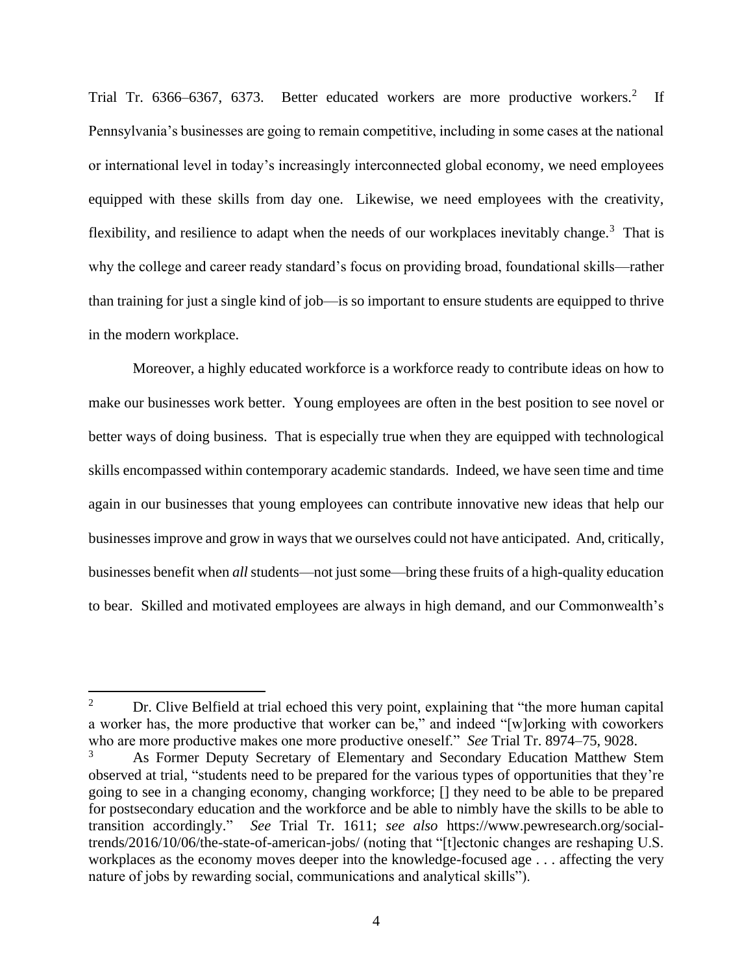Trial Tr. 6366–6367, 6373. Better educated workers are more productive workers.<sup>2</sup> If Pennsylvania's businesses are going to remain competitive, including in some cases at the national or international level in today's increasingly interconnected global economy, we need employees equipped with these skills from day one. Likewise, we need employees with the creativity, flexibility, and resilience to adapt when the needs of our workplaces inevitably change.<sup>3</sup> That is why the college and career ready standard's focus on providing broad, foundational skills—rather than training for just a single kind of job—is so important to ensure students are equipped to thrive in the modern workplace.

Moreover, a highly educated workforce is a workforce ready to contribute ideas on how to make our businesses work better. Young employees are often in the best position to see novel or better ways of doing business. That is especially true when they are equipped with technological skills encompassed within contemporary academic standards. Indeed, we have seen time and time again in our businesses that young employees can contribute innovative new ideas that help our businesses improve and grow in ways that we ourselves could not have anticipated. And, critically, businesses benefit when *all*students—not just some—bring these fruits of a high-quality education to bear. Skilled and motivated employees are always in high demand, and our Commonwealth's

<sup>&</sup>lt;sup>2</sup> Dr. Clive Belfield at trial echoed this very point, explaining that "the more human capital" a worker has, the more productive that worker can be," and indeed "[w]orking with coworkers who are more productive makes one more productive oneself." *See* Trial Tr. 8974–75, 9028.

<sup>&</sup>lt;sup>3</sup> As Former Deputy Secretary of Elementary and Secondary Education Matthew Stem observed at trial, "students need to be prepared for the various types of opportunities that they're going to see in a changing economy, changing workforce; [] they need to be able to be prepared for postsecondary education and the workforce and be able to nimbly have the skills to be able to transition accordingly." *See* Trial Tr. 1611; *see also* [https://www.pewresearch.org/social](https://www.pewresearch.org/social-trends/2016/10/06/the-state-of-american-jobs/)[trends/2016/10/06/the-state-of-american-jobs/](https://www.pewresearch.org/social-trends/2016/10/06/the-state-of-american-jobs/) (noting that "[t]ectonic changes are reshaping U.S. workplaces as the economy moves deeper into the knowledge-focused age . . . affecting the very nature of jobs by rewarding social, communications and analytical skills").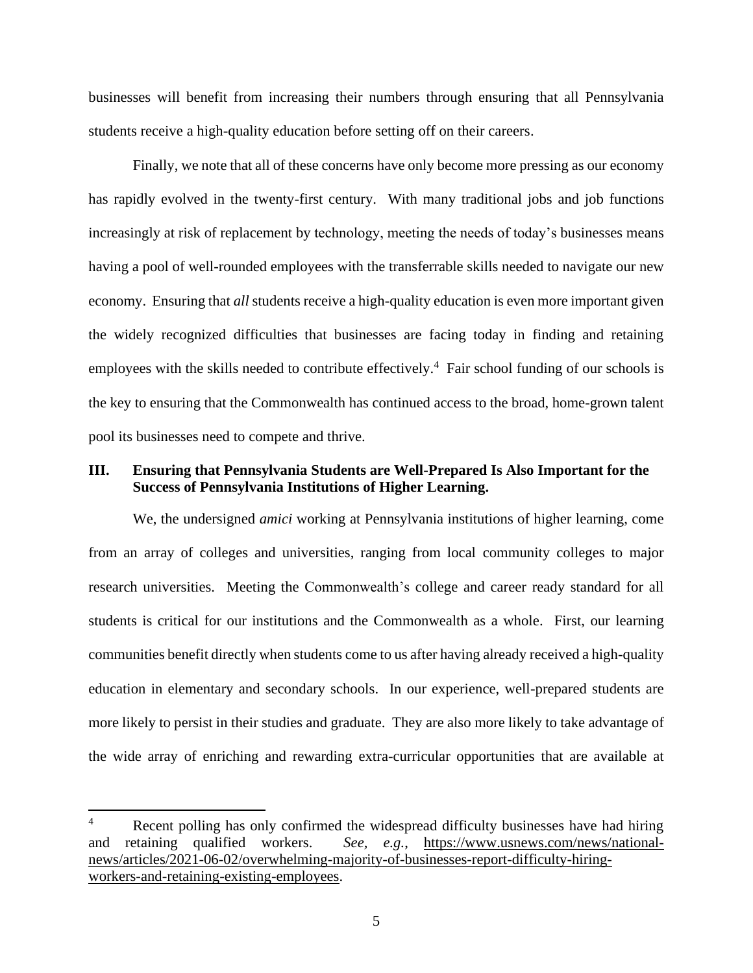businesses will benefit from increasing their numbers through ensuring that all Pennsylvania students receive a high-quality education before setting off on their careers.

Finally, we note that all of these concerns have only become more pressing as our economy has rapidly evolved in the twenty-first century. With many traditional jobs and job functions increasingly at risk of replacement by technology, meeting the needs of today's businesses means having a pool of well-rounded employees with the transferrable skills needed to navigate our new economy. Ensuring that *all* students receive a high-quality education is even more important given the widely recognized difficulties that businesses are facing today in finding and retaining employees with the skills needed to contribute effectively.<sup>4</sup> Fair school funding of our schools is the key to ensuring that the Commonwealth has continued access to the broad, home-grown talent pool its businesses need to compete and thrive.

## <span id="page-12-0"></span>**III. Ensuring that Pennsylvania Students are Well-Prepared Is Also Important for the Success of Pennsylvania Institutions of Higher Learning.**

We, the undersigned *amici* working at Pennsylvania institutions of higher learning, come from an array of colleges and universities, ranging from local community colleges to major research universities. Meeting the Commonwealth's college and career ready standard for all students is critical for our institutions and the Commonwealth as a whole. First, our learning communities benefit directly when students come to us after having already received a high-quality education in elementary and secondary schools. In our experience, well-prepared students are more likely to persist in their studies and graduate. They are also more likely to take advantage of the wide array of enriching and rewarding extra-curricular opportunities that are available at

<sup>&</sup>lt;sup>4</sup> Recent polling has only confirmed the widespread difficulty businesses have had hiring and retaining qualified workers. *See, e.g.*, [https://www.usnews.com/news/national](https://www.usnews.com/news/national-news/articles/2021-06-02/overwhelming-majority-of-businesses-report-difficulty-hiring-workers-and-retaining-existing-employees)[news/articles/2021-06-02/overwhelming-majority-of-businesses-report-difficulty-hiring](https://www.usnews.com/news/national-news/articles/2021-06-02/overwhelming-majority-of-businesses-report-difficulty-hiring-workers-and-retaining-existing-employees)[workers-and-retaining-existing-employees.](https://www.usnews.com/news/national-news/articles/2021-06-02/overwhelming-majority-of-businesses-report-difficulty-hiring-workers-and-retaining-existing-employees)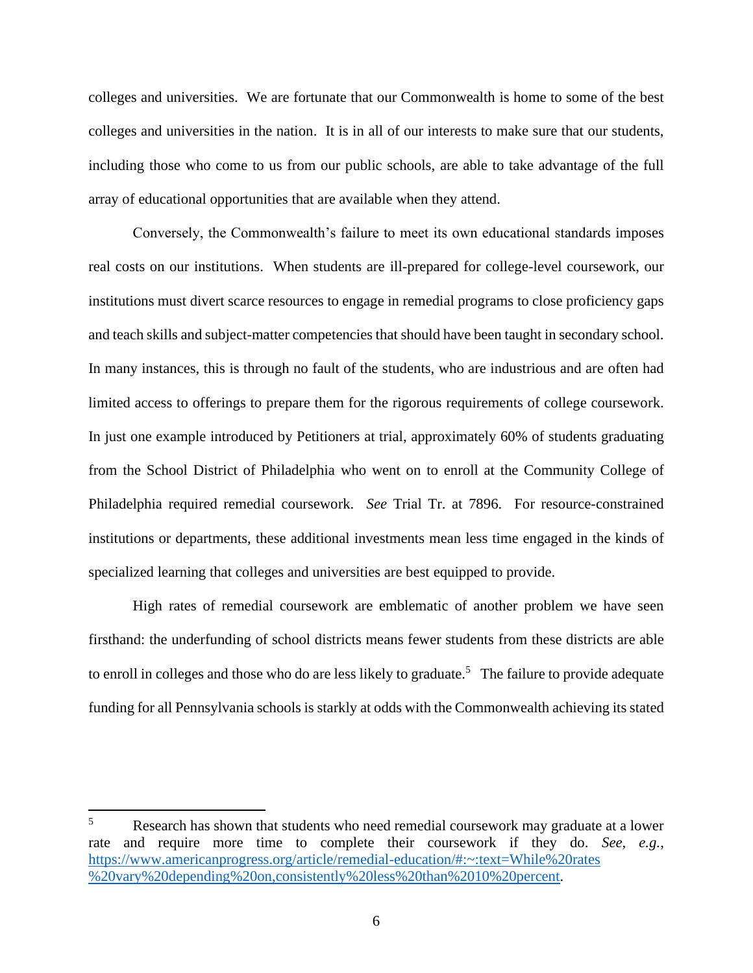colleges and universities. We are fortunate that our Commonwealth is home to some of the best colleges and universities in the nation. It is in all of our interests to make sure that our students, including those who come to us from our public schools, are able to take advantage of the full array of educational opportunities that are available when they attend.

Conversely, the Commonwealth's failure to meet its own educational standards imposes real costs on our institutions. When students are ill-prepared for college-level coursework, our institutions must divert scarce resources to engage in remedial programs to close proficiency gaps and teach skills and subject-matter competencies that should have been taught in secondary school. In many instances, this is through no fault of the students, who are industrious and are often had limited access to offerings to prepare them for the rigorous requirements of college coursework. In just one example introduced by Petitioners at trial, approximately 60% of students graduating from the School District of Philadelphia who went on to enroll at the Community College of Philadelphia required remedial coursework. *See* Trial Tr. at 7896. For resource-constrained institutions or departments, these additional investments mean less time engaged in the kinds of specialized learning that colleges and universities are best equipped to provide.

High rates of remedial coursework are emblematic of another problem we have seen firsthand: the underfunding of school districts means fewer students from these districts are able to enroll in colleges and those who do are less likely to graduate.<sup>5</sup> The failure to provide adequate funding for all Pennsylvania schools is starkly at odds with the Commonwealth achieving its stated

<sup>&</sup>lt;sup>5</sup> Research has shown that students who need remedial coursework may graduate at a lower rate and require more time to complete their coursework if they do. *See, e.g.*, [https://www.americanprogress.org/article/remedial-education/#:~:text=While%20rates](https://www.americanprogress.org/article/remedial-education/#:~:text=While%20rates%20vary%20depending%20on,consistently%20less%20than%2010%20percent) [%20vary%20depending%20on,consistently%20less%20than%2010%20percent.](https://www.americanprogress.org/article/remedial-education/#:~:text=While%20rates%20vary%20depending%20on,consistently%20less%20than%2010%20percent)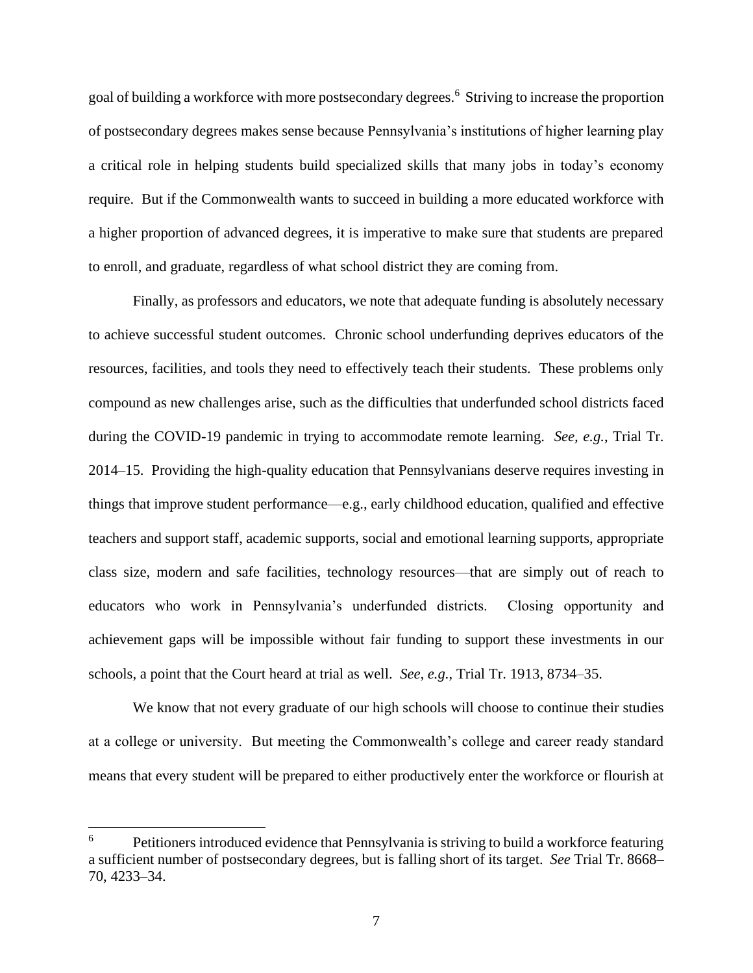goal of building a workforce with more postsecondary degrees.<sup>6</sup> Striving to increase the proportion of postsecondary degrees makes sense because Pennsylvania's institutions of higher learning play a critical role in helping students build specialized skills that many jobs in today's economy require. But if the Commonwealth wants to succeed in building a more educated workforce with a higher proportion of advanced degrees, it is imperative to make sure that students are prepared to enroll, and graduate, regardless of what school district they are coming from.

Finally, as professors and educators, we note that adequate funding is absolutely necessary to achieve successful student outcomes. Chronic school underfunding deprives educators of the resources, facilities, and tools they need to effectively teach their students. These problems only compound as new challenges arise, such as the difficulties that underfunded school districts faced during the COVID-19 pandemic in trying to accommodate remote learning. *See, e.g.*, Trial Tr. 2014–15. Providing the high-quality education that Pennsylvanians deserve requires investing in things that improve student performance—e.g., early childhood education, qualified and effective teachers and support staff, academic supports, social and emotional learning supports, appropriate class size, modern and safe facilities, technology resources—that are simply out of reach to educators who work in Pennsylvania's underfunded districts. Closing opportunity and achievement gaps will be impossible without fair funding to support these investments in our schools, a point that the Court heard at trial as well. *See, e.g.*, Trial Tr. 1913, 8734–35.

We know that not every graduate of our high schools will choose to continue their studies at a college or university. But meeting the Commonwealth's college and career ready standard means that every student will be prepared to either productively enter the workforce or flourish at

 $6 \rightarrow$  Petitioners introduced evidence that Pennsylvania is striving to build a workforce featuring a sufficient number of postsecondary degrees, but is falling short of its target. *See* Trial Tr. 8668– 70, 4233–34.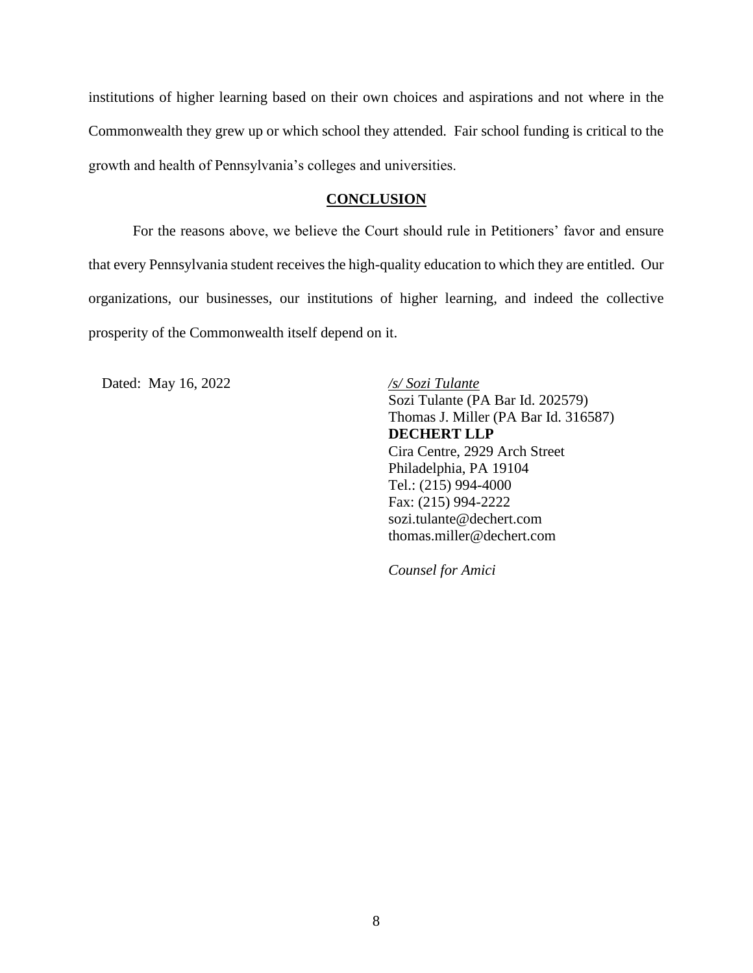institutions of higher learning based on their own choices and aspirations and not where in the Commonwealth they grew up or which school they attended. Fair school funding is critical to the growth and health of Pennsylvania's colleges and universities.

### **CONCLUSION**

<span id="page-15-0"></span>For the reasons above, we believe the Court should rule in Petitioners' favor and ensure that every Pennsylvania student receives the high-quality education to which they are entitled. Our organizations, our businesses, our institutions of higher learning, and indeed the collective prosperity of the Commonwealth itself depend on it.

Dated: May 16, 2022 */s/ Sozi Tulante*

Sozi Tulante (PA Bar Id. 202579) Thomas J. Miller (PA Bar Id. 316587) **DECHERT LLP** Cira Centre, 2929 Arch Street Philadelphia, PA 19104 Tel.: (215) 994-4000 Fax: (215) 994-2222 sozi.tulante@dechert.com thomas.miller@dechert.com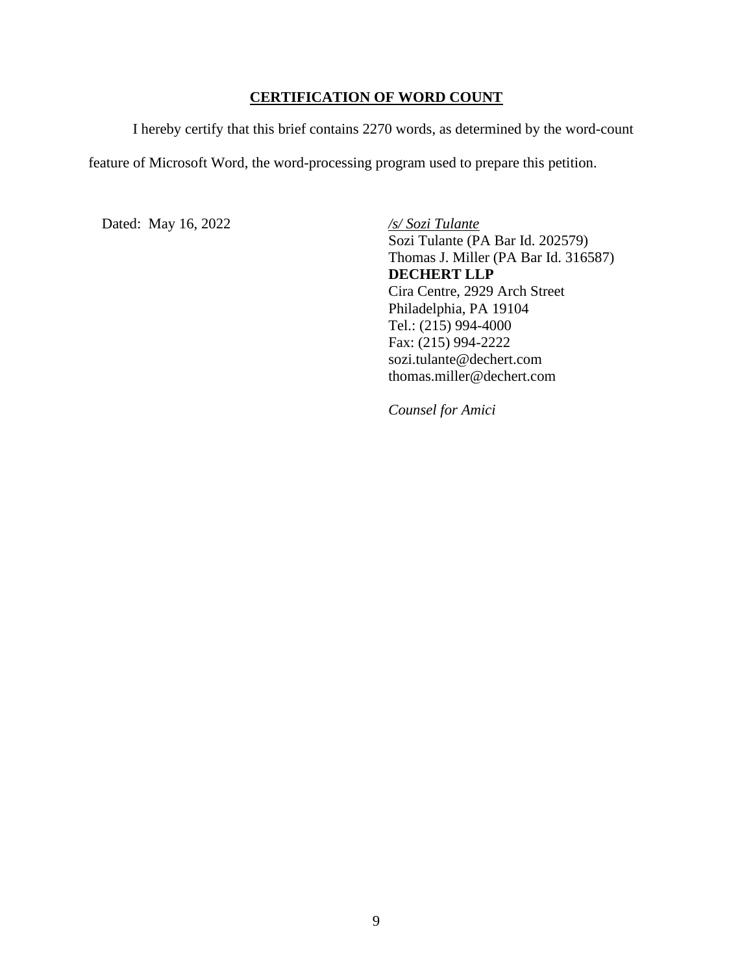# **CERTIFICATION OF WORD COUNT**

<span id="page-16-0"></span>I hereby certify that this brief contains 2270 words, as determined by the word-count

feature of Microsoft Word, the word-processing program used to prepare this petition.

Dated: May 16, 2022 */s/ Sozi Tulante*

Sozi Tulante (PA Bar Id. 202579) Thomas J. Miller (PA Bar Id. 316587) **DECHERT LLP** Cira Centre, 2929 Arch Street Philadelphia, PA 19104 Tel.: (215) 994-4000 Fax: (215) 994-2222 sozi.tulante@dechert.com thomas.miller@dechert.com